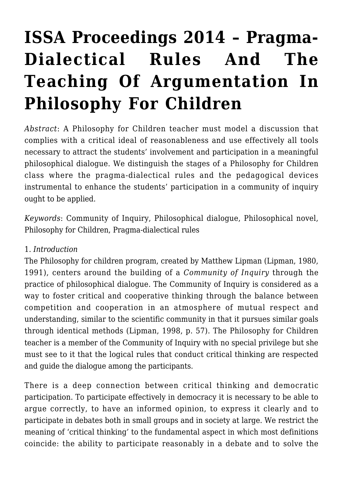# **[ISSA Proceedings 2014 – Pragma-](https://rozenbergquarterly.com/issa-proceedings-2014-pragma-dialectical-rules-and-the-teaching-of-argumentation-in-philosophy-for-children/)[Dialectical Rules And The](https://rozenbergquarterly.com/issa-proceedings-2014-pragma-dialectical-rules-and-the-teaching-of-argumentation-in-philosophy-for-children/) [Teaching Of Argumentation In](https://rozenbergquarterly.com/issa-proceedings-2014-pragma-dialectical-rules-and-the-teaching-of-argumentation-in-philosophy-for-children/) [Philosophy For Children](https://rozenbergquarterly.com/issa-proceedings-2014-pragma-dialectical-rules-and-the-teaching-of-argumentation-in-philosophy-for-children/)**

*Abstract*: A Philosophy for Children teacher must model a discussion that complies with a critical ideal of reasonableness and use effectively all tools necessary to attract the students' involvement and participation in a meaningful philosophical dialogue. We distinguish the stages of a Philosophy for Children class where the pragma-dialectical rules and the pedagogical devices instrumental to enhance the students' participation in a community of inquiry ought to be applied.

*Keywords*: Community of Inquiry, Philosophical dialogue, Philosophical novel, Philosophy for Children, Pragma-dialectical rules

## 1. *Introduction*

The Philosophy for children program, created by Matthew Lipman (Lipman, 1980, 1991), centers around the building of a *Community of Inquiry* through the practice of philosophical dialogue. The Community of Inquiry is considered as a way to foster critical and cooperative thinking through the balance between competition and cooperation in an atmosphere of mutual respect and understanding, similar to the scientific community in that it pursues similar goals through identical methods (Lipman, 1998, p. 57). The Philosophy for Children teacher is a member of the Community of Inquiry with no special privilege but she must see to it that the logical rules that conduct critical thinking are respected and guide the dialogue among the participants.

There is a deep connection between critical thinking and democratic participation. To participate effectively in democracy it is necessary to be able to argue correctly, to have an informed opinion, to express it clearly and to participate in debates both in small groups and in society at large. We restrict the meaning of 'critical thinking' to the fundamental aspect in which most definitions coincide: the ability to participate reasonably in a debate and to solve the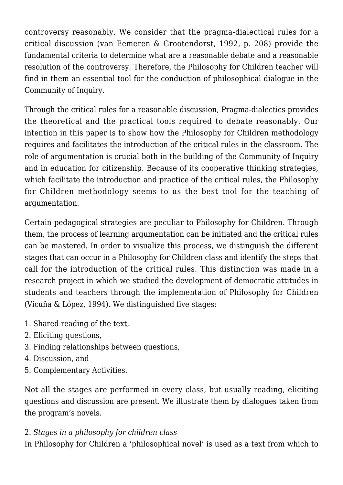controversy reasonably. We consider that the pragma-dialectical rules for a critical discussion (van Eemeren & Grootendorst, 1992, p. 208) provide the fundamental criteria to determine what are a reasonable debate and a reasonable resolution of the controversy. Therefore, the Philosophy for Children teacher will find in them an essential tool for the conduction of philosophical dialogue in the Community of Inquiry.

Through the critical rules for a reasonable discussion, Pragma-dialectics provides the theoretical and the practical tools required to debate reasonably. Our intention in this paper is to show how the Philosophy for Children methodology requires and facilitates the introduction of the critical rules in the classroom. The role of argumentation is crucial both in the building of the Community of Inquiry and in education for citizenship. Because of its cooperative thinking strategies, which facilitate the introduction and practice of the critical rules, the Philosophy for Children methodology seems to us the best tool for the teaching of argumentation.

Certain pedagogical strategies are peculiar to Philosophy for Children. Through them, the process of learning argumentation can be initiated and the critical rules can be mastered. In order to visualize this process, we distinguish the different stages that can occur in a Philosophy for Children class and identify the steps that call for the introduction of the critical rules. This distinction was made in a research project in which we studied the development of democratic attitudes in students and teachers through the implementation of Philosophy for Children (Vicuña & López, 1994). We distinguished five stages:

- 1. Shared reading of the text,
- 2. Eliciting questions,
- 3. Finding relationships between questions,
- 4. Discussion, and
- 5. Complementary Activities.

Not all the stages are performed in every class, but usually reading, eliciting questions and discussion are present. We illustrate them by dialogues taken from the program's novels.

## 2. *Stages in a philosophy for children class*

In Philosophy for Children a 'philosophical novel' is used as a text from which to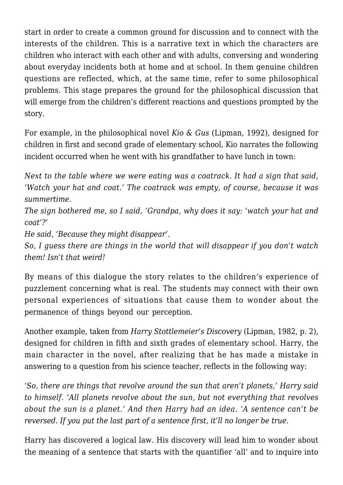start in order to create a common ground for discussion and to connect with the interests of the children. This is a narrative text in which the characters are children who interact with each other and with adults, conversing and wondering about everyday incidents both at home and at school. In them genuine children questions are reflected, which, at the same time, refer to some philosophical problems. This stage prepares the ground for the philosophical discussion that will emerge from the children's different reactions and questions prompted by the story.

For example, in the philosophical novel *Kio & Gus* (Lipman, 1992), designed for children in first and second grade of elementary school, Kio narrates the following incident occurred when he went with his grandfather to have lunch in town:

*Next to the table where we were eating was a coatrack. It had a sign that said, 'Watch your hat and coat.' The coatrack was empty, of course, because it was summertime.*

*The sign bothered me, so I said, 'Grandpa, why does it say: 'watch your hat and coat'?'*

*He said, 'Because they might disappear'.*

*So, I guess there are things in the world that will disappear if you don't watch them! Isn't that weird!*

By means of this dialogue the story relates to the children's experience of puzzlement concerning what is real. The students may connect with their own personal experiences of situations that cause them to wonder about the permanence of things beyond our perception.

Another example, taken from *Harry Stottlemeier's Discovery* (Lipman, 1982, p. 2), designed for children in fifth and sixth grades of elementary school. Harry, the main character in the novel, after realizing that he has made a mistake in answering to a question from his science teacher, reflects in the following way:

*'So, there are things that revolve around the sun that aren't planets,' Harry said to himself. 'All planets revolve about the sun, but not everything that revolves about the sun is a planet.' And then Harry had an idea. 'A sentence can't be reversed. If you put the last part of a sentence first, it'll no longer be true.*

Harry has discovered a logical law. His discovery will lead him to wonder about the meaning of a sentence that starts with the quantifier 'all' and to inquire into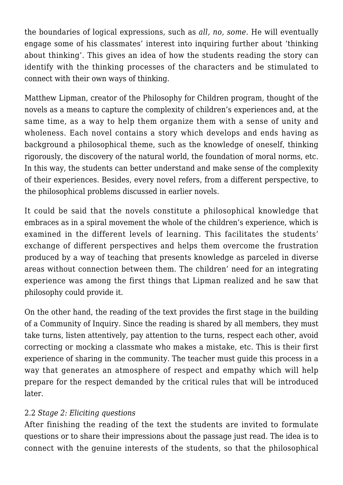the boundaries of logical expressions, such as *all, no, some*. He will eventually engage some of his classmates' interest into inquiring further about 'thinking about thinking'. This gives an idea of how the students reading the story can identify with the thinking processes of the characters and be stimulated to connect with their own ways of thinking.

Matthew Lipman, creator of the Philosophy for Children program, thought of the novels as a means to capture the complexity of children's experiences and, at the same time, as a way to help them organize them with a sense of unity and wholeness. Each novel contains a story which develops and ends having as background a philosophical theme, such as the knowledge of oneself, thinking rigorously, the discovery of the natural world, the foundation of moral norms, etc. In this way, the students can better understand and make sense of the complexity of their experiences. Besides, every novel refers, from a different perspective, to the philosophical problems discussed in earlier novels.

It could be said that the novels constitute a philosophical knowledge that embraces as in a spiral movement the whole of the children's experience, which is examined in the different levels of learning. This facilitates the students' exchange of different perspectives and helps them overcome the frustration produced by a way of teaching that presents knowledge as parceled in diverse areas without connection between them. The children' need for an integrating experience was among the first things that Lipman realized and he saw that philosophy could provide it.

On the other hand, the reading of the text provides the first stage in the building of a Community of Inquiry. Since the reading is shared by all members, they must take turns, listen attentively, pay attention to the turns, respect each other, avoid correcting or mocking a classmate who makes a mistake, etc. This is their first experience of sharing in the community. The teacher must guide this process in a way that generates an atmosphere of respect and empathy which will help prepare for the respect demanded by the critical rules that will be introduced later.

## 2.2 *Stage 2: Eliciting questions*

After finishing the reading of the text the students are invited to formulate questions or to share their impressions about the passage just read. The idea is to connect with the genuine interests of the students, so that the philosophical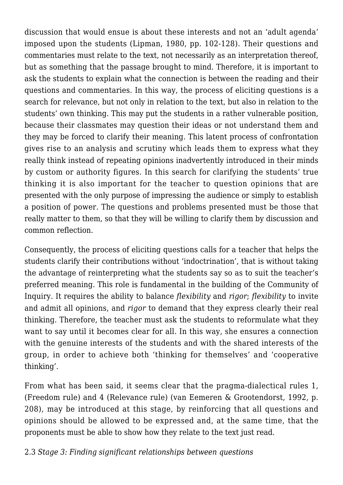discussion that would ensue is about these interests and not an 'adult agenda' imposed upon the students (Lipman, 1980, pp. 102-128). Their questions and commentaries must relate to the text, not necessarily as an interpretation thereof, but as something that the passage brought to mind. Therefore, it is important to ask the students to explain what the connection is between the reading and their questions and commentaries. In this way, the process of eliciting questions is a search for relevance, but not only in relation to the text, but also in relation to the students' own thinking. This may put the students in a rather vulnerable position, because their classmates may question their ideas or not understand them and they may be forced to clarify their meaning. This latent process of confrontation gives rise to an analysis and scrutiny which leads them to express what they really think instead of repeating opinions inadvertently introduced in their minds by custom or authority figures. In this search for clarifying the students' true thinking it is also important for the teacher to question opinions that are presented with the only purpose of impressing the audience or simply to establish a position of power. The questions and problems presented must be those that really matter to them, so that they will be willing to clarify them by discussion and common reflection.

Consequently, the process of eliciting questions calls for a teacher that helps the students clarify their contributions without 'indoctrination', that is without taking the advantage of reinterpreting what the students say so as to suit the teacher's preferred meaning. This role is fundamental in the building of the Community of Inquiry. It requires the ability to balance *flexibility* and *rigor*; *flexibility* to invite and admit all opinions, and *rigor* to demand that they express clearly their real thinking. Therefore, the teacher must ask the students to reformulate what they want to say until it becomes clear for all. In this way, she ensures a connection with the genuine interests of the students and with the shared interests of the group, in order to achieve both 'thinking for themselves' and 'cooperative thinking'.

From what has been said, it seems clear that the pragma-dialectical rules 1, (Freedom rule) and 4 (Relevance rule) (van Eemeren & Grootendorst, 1992, p. 208), may be introduced at this stage, by reinforcing that all questions and opinions should be allowed to be expressed and, at the same time, that the proponents must be able to show how they relate to the text just read.

2.3 *Stage 3: Finding significant relationships between questions*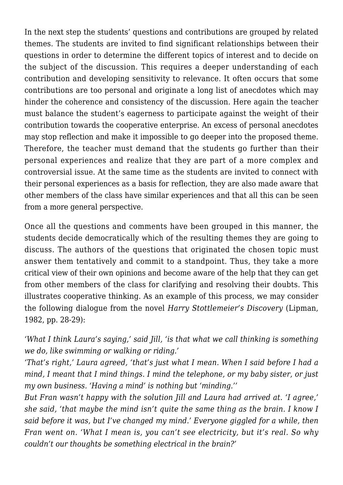In the next step the students' questions and contributions are grouped by related themes. The students are invited to find significant relationships between their questions in order to determine the different topics of interest and to decide on the subject of the discussion. This requires a deeper understanding of each contribution and developing sensitivity to relevance. It often occurs that some contributions are too personal and originate a long list of anecdotes which may hinder the coherence and consistency of the discussion. Here again the teacher must balance the student's eagerness to participate against the weight of their contribution towards the cooperative enterprise. An excess of personal anecdotes may stop reflection and make it impossible to go deeper into the proposed theme. Therefore, the teacher must demand that the students go further than their personal experiences and realize that they are part of a more complex and controversial issue. At the same time as the students are invited to connect with their personal experiences as a basis for reflection, they are also made aware that other members of the class have similar experiences and that all this can be seen from a more general perspective.

Once all the questions and comments have been grouped in this manner, the students decide democratically which of the resulting themes they are going to discuss. The authors of the questions that originated the chosen topic must answer them tentatively and commit to a standpoint. Thus, they take a more critical view of their own opinions and become aware of the help that they can get from other members of the class for clarifying and resolving their doubts. This illustrates cooperative thinking. As an example of this process, we may consider the following dialogue from the novel *Harry Stottlemeier's Discovery* (Lipman, 1982, pp. 28-29):

*'What I think Laura's saying,' said Jill, 'is that what we call thinking is something we do, like swimming or walking or riding.'*

*'That's right,' Laura agreed, 'that's just what I mean. When I said before I had a mind, I meant that I mind things. I mind the telephone, or my baby sister, or just my own business. 'Having a mind' is nothing but 'minding.''*

*But Fran wasn't happy with the solution Jill and Laura had arrived at. 'I agree,' she said, 'that maybe the mind isn't quite the same thing as the brain. I know I said before it was, but I've changed my mind.' Everyone giggled for a while, then Fran went on. 'What I mean is, you can't see electricity, but it's real. So why couldn't our thoughts be something electrical in the brain?'*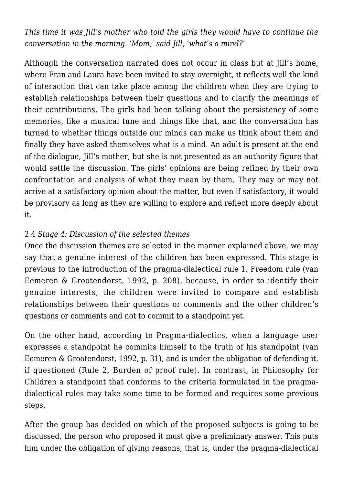*This time it was Jill's mother who told the girls they would have to continue the conversation in the morning. 'Mom,' said Jill, 'what's a mind?'*

Although the conversation narrated does not occur in class but at Jill's home, where Fran and Laura have been invited to stay overnight, it reflects well the kind of interaction that can take place among the children when they are trying to establish relationships between their questions and to clarify the meanings of their contributions. The girls had been talking about the persistency of some memories, like a musical tune and things like that, and the conversation has turned to whether things outside our minds can make us think about them and finally they have asked themselves what is a mind. An adult is present at the end of the dialogue, Jill's mother, but she is not presented as an authority figure that would settle the discussion. The girls' opinions are being refined by their own confrontation and analysis of what they mean by them. They may or may not arrive at a satisfactory opinion about the matter, but even if satisfactory, it would be provisory as long as they are willing to explore and reflect more deeply about it.

## 2.4 *Stage 4: Discussion of the selected themes*

Once the discussion themes are selected in the manner explained above, we may say that a genuine interest of the children has been expressed. This stage is previous to the introduction of the pragma-dialectical rule 1, Freedom rule (van Eemeren & Grootendorst, 1992, p. 208), because, in order to identify their genuine interests, the children were invited to compare and establish relationships between their questions or comments and the other children's questions or comments and not to commit to a standpoint yet.

On the other hand, according to Pragma-dialectics, when a language user expresses a standpoint he commits himself to the truth of his standpoint (van Eemeren & Grootendorst, 1992, p. 31), and is under the obligation of defending it, if questioned (Rule 2, Burden of proof rule). In contrast, in Philosophy for Children a standpoint that conforms to the criteria formulated in the pragmadialectical rules may take some time to be formed and requires some previous steps.

After the group has decided on which of the proposed subjects is going to be discussed, the person who proposed it must give a preliminary answer. This puts him under the obligation of giving reasons, that is, under the pragma-dialectical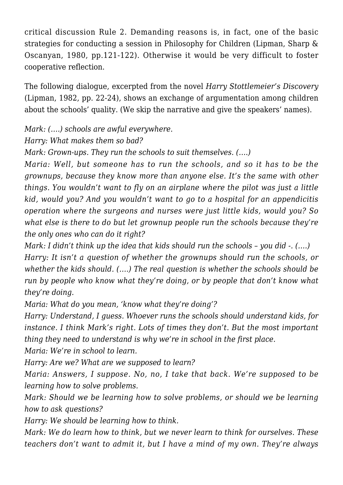critical discussion Rule 2. Demanding reasons is, in fact, one of the basic strategies for conducting a session in Philosophy for Children (Lipman, Sharp & Oscanyan, 1980, pp.121-122). Otherwise it would be very difficult to foster cooperative reflection.

The following dialogue, excerpted from the novel *Harry Stottlemeier's Discovery* (Lipman, 1982, pp. 22-24), shows an exchange of argumentation among children about the schools' quality. (We skip the narrative and give the speakers' names).

*Mark: (….) schools are awful everywhere.*

*Harry: What makes them so bad?*

*Mark: Grown-ups. They run the schools to suit themselves. (….)*

*Maria: Well, but someone has to run the schools, and so it has to be the grownups, because they know more than anyone else. It's the same with other things. You wouldn't want to fly on an airplane where the pilot was just a little kid, would you? And you wouldn't want to go to a hospital for an appendicitis operation where the surgeons and nurses were just little kids, would you? So what else is there to do but let grownup people run the schools because they're the only ones who can do it right?*

*Mark: I didn't think up the idea that kids should run the schools – you did -. (….) Harry: It isn't a question of whether the grownups should run the schools, or whether the kids should. (….) The real question is whether the schools should be run by people who know what they're doing, or by people that don't know what they're doing.*

*Maria: What do you mean, 'know what they're doing'?*

*Harry: Understand, I guess. Whoever runs the schools should understand kids, for instance. I think Mark's right. Lots of times they don't. But the most important thing they need to understand is why we're in school in the first place.*

*Maria: We're in school to learn.*

*Harry: Are we? What are we supposed to learn?*

*Maria: Answers, I suppose. No, no, I take that back. We're supposed to be learning how to solve problems.*

*Mark: Should we be learning how to solve problems, or should we be learning how to ask questions?*

*Harry: We should be learning how to think.*

*Mark: We do learn how to think, but we never learn to think for ourselves. These teachers don't want to admit it, but I have a mind of my own. They're always*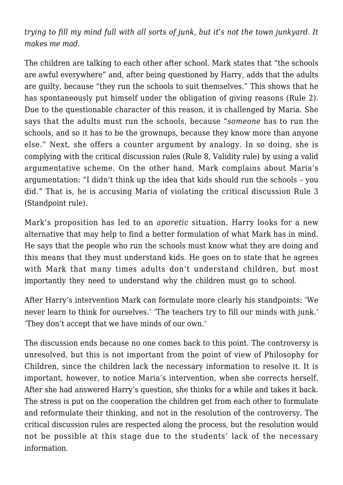*trying to fill my mind full with all sorts of junk, but it's not the town junkyard. It makes me mad.*

The children are talking to each other after school. Mark states that "the schools are awful everywhere" and, after being questioned by Harry, adds that the adults are guilty, because "they run the schools to suit themselves." This shows that he has spontaneously put himself under the obligation of giving reasons (Rule 2). Due to the questionable character of this reason, it is challenged by Maria. She says that the adults must run the schools, because "*someone* has to run the schools, and so it has to be the grownups, because they know more than anyone else." Next, she offers a counter argument by analogy. In so doing, she is complying with the critical discussion rules (Rule 8, Validity rule) by using a valid argumentative scheme. On the other hand, Mark complains about Maria's argumentation: "I didn't think up the idea that kids should run the schools – you did." That is, he is accusing Maria of violating the critical discussion Rule 3 (Standpoint rule).

Mark's proposition has led to an *aporetic* situation. Harry looks for a new alternative that may help to find a better formulation of what Mark has in mind. He says that the people who run the schools must know what they are doing and this means that they must understand kids. He goes on to state that he agrees with Mark that many times adults don't understand children, but most importantly they need to understand why the children must go to school.

After Harry's intervention Mark can formulate more clearly his standpoints: 'We never learn to think for ourselves.' 'The teachers try to fill our minds with junk.' 'They don't accept that we have minds of our own.'

The discussion ends because no one comes back to this point. The controversy is unresolved, but this is not important from the point of view of Philosophy for Children, since the children lack the necessary information to resolve it. It is important, however, to notice Maria's intervention, when she corrects herself. After she had answered Harry's question, she thinks for a while and takes it back. The stress is put on the cooperation the children get from each other to formulate and reformulate their thinking, and not in the resolution of the controversy. The critical discussion rules are respected along the process, but the resolution would not be possible at this stage due to the students' lack of the necessary information.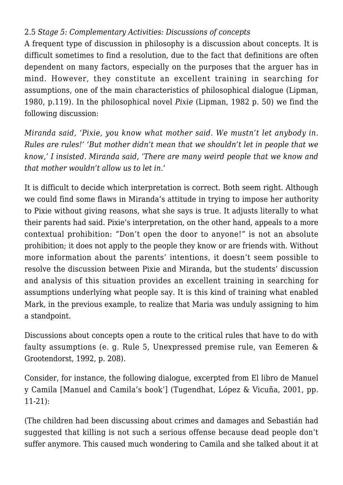## 2.5 *Stage 5: Complementary Activities: Discussions of concepts*

A frequent type of discussion in philosophy is a discussion about concepts. It is difficult sometimes to find a resolution, due to the fact that definitions are often dependent on many factors, especially on the purposes that the arguer has in mind. However, they constitute an excellent training in searching for assumptions, one of the main characteristics of philosophical dialogue (Lipman, 1980, p.119). In the philosophical novel *Pixie* (Lipman, 1982 p. 50) we find the following discussion:

*Miranda said, 'Pixie, you know what mother said. We mustn't let anybody in. Rules are rules!' 'But mother didn't mean that we shouldn't let in people that we know,' I insisted. Miranda said, 'There are many weird people that we know and that mother wouldn't allow us to let in.'*

It is difficult to decide which interpretation is correct. Both seem right. Although we could find some flaws in Miranda's attitude in trying to impose her authority to Pixie without giving reasons, what she says is true. It adjusts literally to what their parents had said. Pixie's interpretation, on the other hand, appeals to a more contextual prohibition: "Don't open the door to anyone!" is not an absolute prohibition; it does not apply to the people they know or are friends with. Without more information about the parents' intentions, it doesn't seem possible to resolve the discussion between Pixie and Miranda, but the students' discussion and analysis of this situation provides an excellent training in searching for assumptions underlying what people say. It is this kind of training what enabled Mark, in the previous example, to realize that Maria was unduly assigning to him a standpoint.

Discussions about concepts open a route to the critical rules that have to do with faulty assumptions (e. g. Rule 5, Unexpressed premise rule, van Eemeren & Grootendorst, 1992, p. 208).

Consider, for instance, the following dialogue, excerpted from El libro de Manuel y Camila [Manuel and Camila's book'] (Tugendhat, López & Vicuña, 2001, pp. 11-21):

(The children had been discussing about crimes and damages and Sebastián had suggested that killing is not such a serious offense because dead people don't suffer anymore. This caused much wondering to Camila and she talked about it at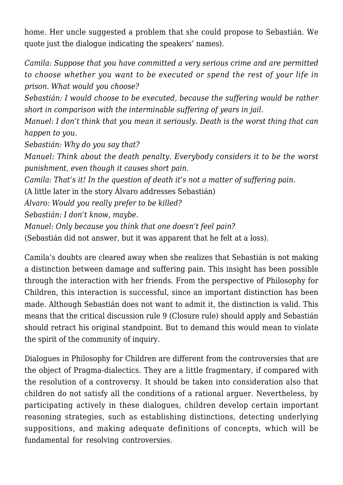home. Her uncle suggested a problem that she could propose to Sebastián. We quote just the dialogue indicating the speakers' names).

*Camila: Suppose that you have committed a very serious crime and are permitted to choose whether you want to be executed or spend the rest of your life in prison. What would you choose?*

*Sebastián: I would choose to be executed, because the suffering would be rather short in comparison with the interminable suffering of years in jail.*

*Manuel: I don't think that you mean it seriously. Death is the worst thing that can happen to you.*

*Sebastián: Why do you say that?*

*Manuel: Think about the death penalty. Everybody considers it to be the worst punishment, even though it causes short pain.*

*Camila: That's it! In the question of death it's not a matter of suffering pain.*

(A little later in the story Álvaro addresses Sebastián)

*Álvaro: Would you really prefer to be killed?*

*Sebastián: I don't know, maybe.*

*Manuel: Only because you think that one doesn't feel pain?*

(Sebastián did not answer, but it was apparent that he felt at a loss).

Camila's doubts are cleared away when she realizes that Sebastián is not making a distinction between damage and suffering pain. This insight has been possible through the interaction with her friends. From the perspective of Philosophy for Children, this interaction is successful, since an important distinction has been made. Although Sebastián does not want to admit it, the distinction is valid. This means that the critical discussion rule 9 (Closure rule) should apply and Sebastián should retract his original standpoint. But to demand this would mean to violate the spirit of the community of inquiry.

Dialogues in Philosophy for Children are different from the controversies that are the object of Pragma-dialectics. They are a little fragmentary, if compared with the resolution of a controversy. It should be taken into consideration also that children do not satisfy all the conditions of a rational arguer. Nevertheless, by participating actively in these dialogues, children develop certain important reasoning strategies, such as establishing distinctions, detecting underlying suppositions, and making adequate definitions of concepts, which will be fundamental for resolving controversies.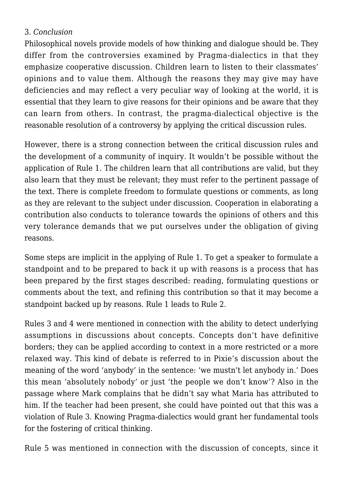#### 3. *Conclusion*

Philosophical novels provide models of how thinking and dialogue should be. They differ from the controversies examined by Pragma-dialectics in that they emphasize cooperative discussion. Children learn to listen to their classmates' opinions and to value them. Although the reasons they may give may have deficiencies and may reflect a very peculiar way of looking at the world, it is essential that they learn to give reasons for their opinions and be aware that they can learn from others. In contrast, the pragma-dialectical objective is the reasonable resolution of a controversy by applying the critical discussion rules.

However, there is a strong connection between the critical discussion rules and the development of a community of inquiry. It wouldn't be possible without the application of Rule 1. The children learn that all contributions are valid, but they also learn that they must be relevant; they must refer to the pertinent passage of the text. There is complete freedom to formulate questions or comments, as long as they are relevant to the subject under discussion. Cooperation in elaborating a contribution also conducts to tolerance towards the opinions of others and this very tolerance demands that we put ourselves under the obligation of giving reasons.

Some steps are implicit in the applying of Rule 1. To get a speaker to formulate a standpoint and to be prepared to back it up with reasons is a process that has been prepared by the first stages described: reading, formulating questions or comments about the text, and refining this contribution so that it may become a standpoint backed up by reasons. Rule 1 leads to Rule 2.

Rules 3 and 4 were mentioned in connection with the ability to detect underlying assumptions in discussions about concepts. Concepts don't have definitive borders; they can be applied according to context in a more restricted or a more relaxed way. This kind of debate is referred to in Pixie's discussion about the meaning of the word 'anybody' in the sentence: 'we mustn't let anybody in.' Does this mean 'absolutely nobody' or just 'the people we don't know'? Also in the passage where Mark complains that he didn't say what Maria has attributed to him. If the teacher had been present, she could have pointed out that this was a violation of Rule 3. Knowing Pragma-dialectics would grant her fundamental tools for the fostering of critical thinking.

Rule 5 was mentioned in connection with the discussion of concepts, since it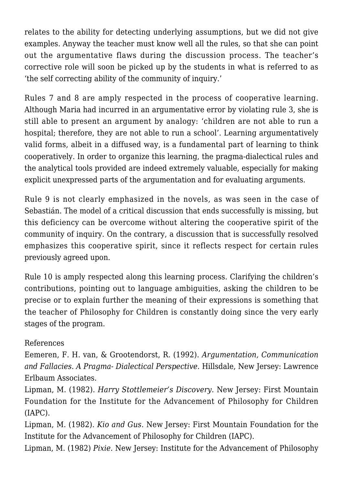relates to the ability for detecting underlying assumptions, but we did not give examples. Anyway the teacher must know well all the rules, so that she can point out the argumentative flaws during the discussion process. The teacher's corrective role will soon be picked up by the students in what is referred to as 'the self correcting ability of the community of inquiry.'

Rules 7 and 8 are amply respected in the process of cooperative learning. Although Maria had incurred in an argumentative error by violating rule 3, she is still able to present an argument by analogy: 'children are not able to run a hospital; therefore, they are not able to run a school'. Learning argumentatively valid forms, albeit in a diffused way, is a fundamental part of learning to think cooperatively. In order to organize this learning, the pragma-dialectical rules and the analytical tools provided are indeed extremely valuable, especially for making explicit unexpressed parts of the argumentation and for evaluating arguments.

Rule 9 is not clearly emphasized in the novels, as was seen in the case of Sebastián. The model of a critical discussion that ends successfully is missing, but this deficiency can be overcome without altering the cooperative spirit of the community of inquiry. On the contrary, a discussion that is successfully resolved emphasizes this cooperative spirit, since it reflects respect for certain rules previously agreed upon.

Rule 10 is amply respected along this learning process. Clarifying the children's contributions, pointing out to language ambiguities, asking the children to be precise or to explain further the meaning of their expressions is something that the teacher of Philosophy for Children is constantly doing since the very early stages of the program.

## References

Eemeren, F. H. van, & Grootendorst, R. (1992). *Argumentation, Communication and Fallacies. A Pragma- Dialectical Perspective.* Hillsdale, New Jersey: Lawrence Erlbaum Associates.

Lipman, M. (1982). *Harry Stottlemeier's Discovery.* New Jersey: First Mountain Foundation for the Institute for the Advancement of Philosophy for Children (IAPC).

Lipman, M. (1982). *Kio and Gus*. New Jersey: First Mountain Foundation for the Institute for the Advancement of Philosophy for Children (IAPC).

Lipman, M. (1982) *Pixie.* New Jersey: Institute for the Advancement of Philosophy